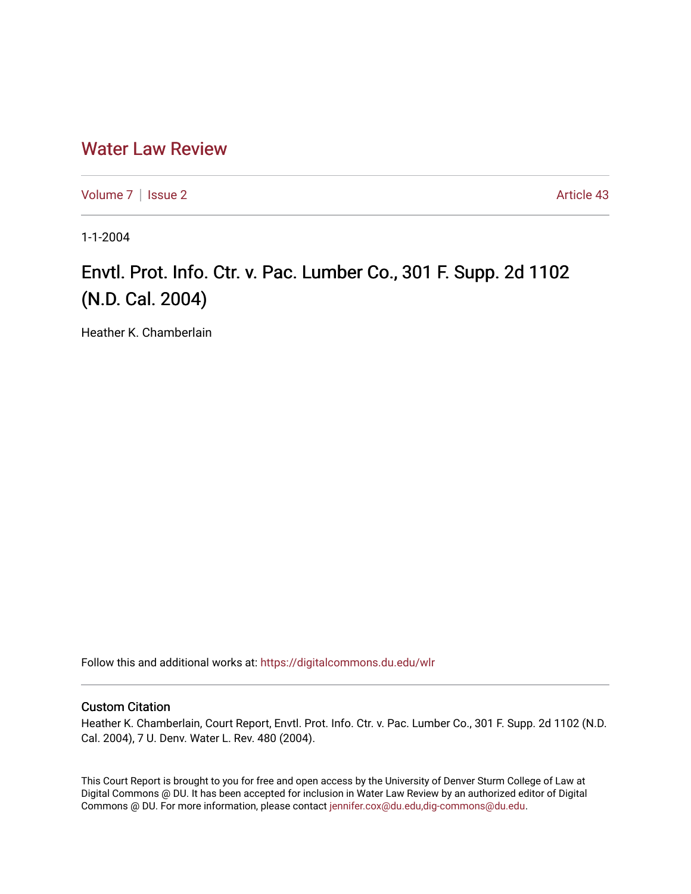## [Water Law Review](https://digitalcommons.du.edu/wlr)

[Volume 7](https://digitalcommons.du.edu/wlr/vol7) | [Issue 2](https://digitalcommons.du.edu/wlr/vol7/iss2) Article 43

1-1-2004

## Envtl. Prot. Info. Ctr. v. Pac. Lumber Co., 301 F. Supp. 2d 1102 (N.D. Cal. 2004)

Heather K. Chamberlain

Follow this and additional works at: [https://digitalcommons.du.edu/wlr](https://digitalcommons.du.edu/wlr?utm_source=digitalcommons.du.edu%2Fwlr%2Fvol7%2Fiss2%2F43&utm_medium=PDF&utm_campaign=PDFCoverPages) 

## Custom Citation

Heather K. Chamberlain, Court Report, Envtl. Prot. Info. Ctr. v. Pac. Lumber Co., 301 F. Supp. 2d 1102 (N.D. Cal. 2004), 7 U. Denv. Water L. Rev. 480 (2004).

This Court Report is brought to you for free and open access by the University of Denver Sturm College of Law at Digital Commons @ DU. It has been accepted for inclusion in Water Law Review by an authorized editor of Digital Commons @ DU. For more information, please contact [jennifer.cox@du.edu,dig-commons@du.edu.](mailto:jennifer.cox@du.edu,dig-commons@du.edu)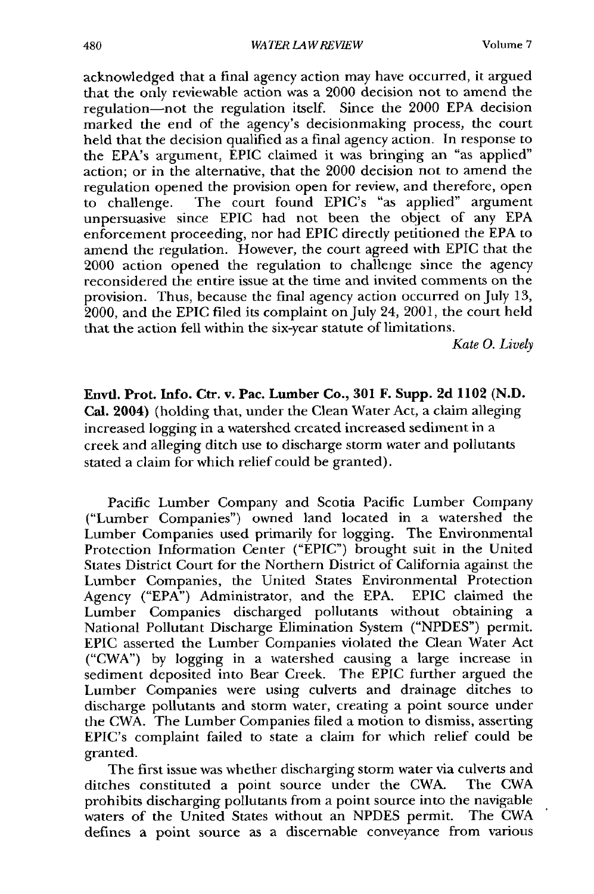**Volume 7**

acknowledged that a final agency action may have occurred, it argued that the only reviewable action was a 2000 decision not to amend the regulation-not the regulation itself. Since the 2000 EPA decision marked the end of the agency's decisionmaking process, the court held that the decision qualified as a final agency action. In response to the EPA's argument, EPIC claimed it was bringing an "as applied" action; or in the alternative, that the 2000 decision not to amend the regulation opened the provision open for review, and therefore, open to challenge. The court found EPIC's "as applied" argument unpersuasive since EPIC had not been the object of any EPA enforcement proceeding, nor had EPIC directly petitioned the EPA to amend the regulation. However, the court agreed with EPIC that the 2000 action opened the regulation to challenge since the agency reconsidered the entire issue at the time and invited comments on the provision. Thus, because the final agency action occurred on July 13, 2000, and the EPIC filed its complaint on July 24, 2001, the court held that the action fell within the six-year statute of limitations.

*Kate 0. Lively*

Envtl. Prot. Info. Ctr. **v. Pac. Lumber Co., 301 F. Supp. 2d 1102 (N.D. Cal.** 2004) (holding that, under the Clean Water Act, a claim alleging increased logging in a watershed created increased sediment in a creek and alleging ditch use to discharge storm water and pollutants stated a claim for which relief could be granted).

Pacific Lumber Company and Scotia Pacific Lumber Company ("Lumber Companies") owned land located in a watershed the Lumber Companies used primarily for logging. The Environmental Protection Information Center **("EPIC")** brought suit in the United States District Court for the Northern District of California against the Lumber Companies, the United States Environmental Protection Agency **("EPA")** Administrator, and the **EPA.** EPIC claimed the Lumber Companies discharged pollutants without obtaining a National Pollutant Discharge Elimination System **("NPDES")** permit. EPIC asserted the Lumber Companies violated the Clean Water Act ("CWA") by logging in a watershed causing a large increase in sediment deposited into Bear Creek. The EPIC further argued the Lumber Companies were using culverts and drainage ditches to discharge pollutants and storm water, creating a point source under the CWA. The Lumber Companies filed a motion to dismiss, asserting EPIC's complaint failed to state a claim for which relief could be granted.

The first issue was whether discharging storm water via culverts and ditches constituted a point source under the CWA. The CWA prohibits discharging pollutants from a point source into the navigable waters of the United States without an NPDES permit. The CWA waters of the United States without an NPDES permit. defines a point source as a discernable conveyance from various